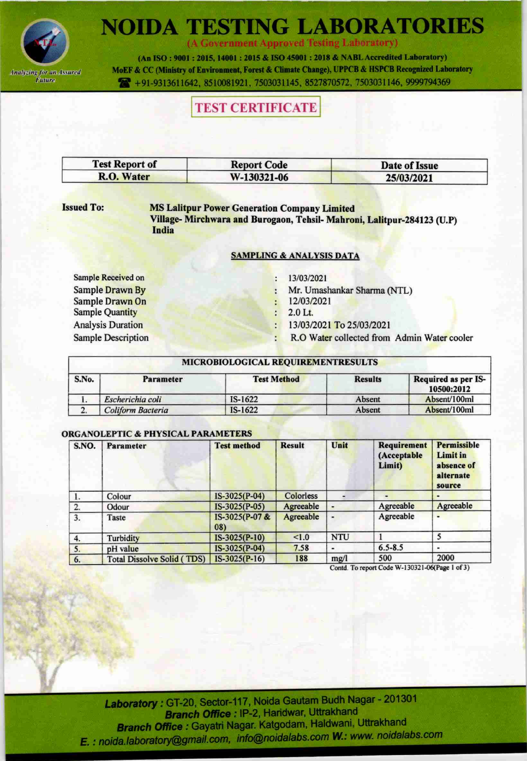

(A Government Approved Testing Laboratory)

(An ISO: 9001: 2015, 14001: 2015 & ISO 45001: 2018 & NABL Accredited Laboratory) MoEF & CC (Ministry of Environment, Forest & Climate Change), UPPCB & HSPCB Recognized Laboratory 491-9313611642, 8510081921, 7503031145, 8527870572, 7503031146, 9999794369

# **TEST CERTIFICATE**

| <b>Test Report of</b> | <b>Report Code</b> | Date of Issue |
|-----------------------|--------------------|---------------|
| R.O. Water            | W-130321-06        | 25/03/2021    |

### **Issued To:**

**MS Lalitpur Power Generation Company Limited** Village-Mirchwara and Burogaon, Tehsil-Mahroni, Lalitpur-284123 (U.P) India

## **SAMPLING & ANALYSIS DATA**

Sample Received on **Sample Drawn By** Sample Drawn On **Sample Quantity Analysis Duration Sample Description**  13/03/2021

Mr. Umashankar Sharma (NTL)

- 12/03/2021
- $2.0$  Lt.
- 13/03/2021 To 25/03/2021 ÷
- R.O Water collected from Admin Water cooler

## MICROBIOLOGICAL REQUIREMENTRESULTS

| S.No. | <b>Parameter</b>  | <b>Test Method</b> | <b>Results</b> | Required as per IS-<br>10500:2012<br>Absent/100ml |  |
|-------|-------------------|--------------------|----------------|---------------------------------------------------|--|
|       | Escherichia coli  | $IS-1622$          | Absent         |                                                   |  |
|       | Coliform Bacteria | $IS-1622$          | Absent         | Absent/100ml                                      |  |

# **ORGANOLEPTIC & PHYSICAL PARAMETERS**

| S.NO. | Parameter                         | <b>Test method</b>    | <b>Result</b> | Unit       | <b>Requirement</b><br>(Acceptable<br>Limit) | Permissible<br><b>Limit in</b><br>absence of<br>alternate<br>source |
|-------|-----------------------------------|-----------------------|---------------|------------|---------------------------------------------|---------------------------------------------------------------------|
|       | Colour                            | IS-3025(P-04)         | Colorless     |            |                                             |                                                                     |
| 2.    | Odour                             | $IS-3025(P-05)$       | Agreeable     |            | Agreeable                                   | Agreeable                                                           |
| 3.    | Taste                             | IS-3025(P-07 &<br>08) | Agreeable     |            | Agreeable                                   |                                                                     |
| 4.    | Turbidity                         | $IS-3025(P-10)$       | < 1.0         | <b>NTU</b> |                                             |                                                                     |
| 5.    | pH value                          | IS-3025(P-04)         | 7.58          |            | $6.5 - 8.5$                                 |                                                                     |
| 6.    | <b>Total Dissolve Solid (TDS)</b> | $IS-3025(P-16)$       | 188           | mg/l       | 500                                         | 2000                                                                |

Contd. To report Code W-130321-06(Page 1 of 3)

Laboratory: GT-20, Sector-117, Noida Gautam Budh Nagar - 201301 Branch Office : IP-2, Haridwar, Uttrakhand Branch Office : Gayatri Nagar. Katgodam, Haldwani, Uttrakhand E. : noida.laboratory@gmail.com, info@noidalabs.com W.: www. noidalabs.com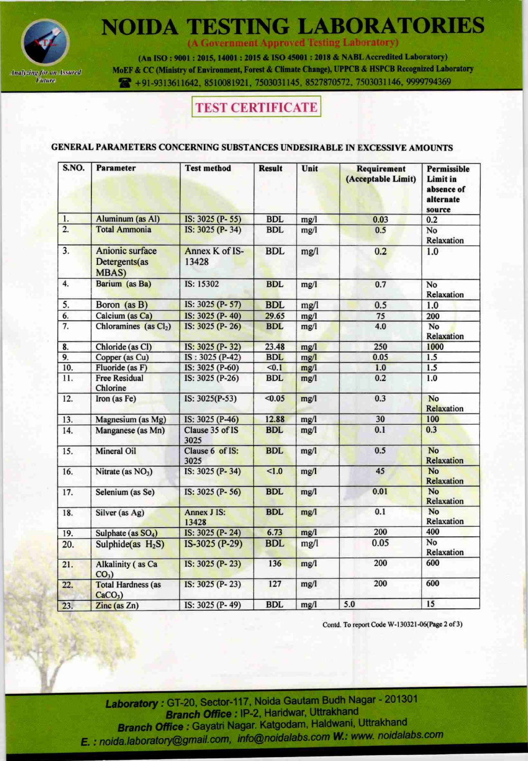

(A Government Approved Testing Laboratory)

(An ISO: 9001: 2015, 14001: 2015 & ISO 45001: 2018 & NABL Accredited Laboratory) MoEF & CC (Ministry of Environment, Forest & Climate Change), UPPCB & HSPCB Recognized Laboratory 491-9313611642, 8510081921, 7503031145, 8527870572, 7503031146, 9999794369

# **TEST CERTIFICATE**

## GENERAL PARAMETERS CONCERNING SUBSTANCES UNDESIRABLE IN EXCESSIVE AMOUNTS

| S.NO.            | <b>Parameter</b>                                         | <b>Test method</b>          | <b>Result</b> | Unit | Requirement<br>(Acceptable Limit) | Permissible<br>Limit in<br>absence of<br>alternate<br>source |
|------------------|----------------------------------------------------------|-----------------------------|---------------|------|-----------------------------------|--------------------------------------------------------------|
| 1.               | <b>Aluminum</b> (as Al)                                  | IS: 3025 (P-55)             | <b>BDL</b>    | mg/l | 0.03                              | 0.2                                                          |
| $\overline{2}$ . | <b>Total Ammonia</b>                                     | IS: 3025 (P-34)             | <b>BDL</b>    | mg/l | 0.5                               | No<br>Relaxation                                             |
| 3.               | <b>Anionic surface</b><br>Detergents(as<br><b>MBAS</b> ) | Annex K of IS-<br>13428     | <b>BDL</b>    | mg/l | 0.2                               | 1.0                                                          |
| $\overline{4}$ . | Barium (as Ba)                                           | IS: 15302                   | <b>BDL</b>    | mg/l | 0.7                               | No<br>Relaxation                                             |
| 5.               | Boron (as B)                                             | IS: 3025 (P-57)             | <b>BDL</b>    | mg/l | 0.5                               | 1.0                                                          |
| 6.               | Calcium (as Ca)                                          | IS: 3025 (P-40)             | 29.65         | mg/l | 75                                | 200                                                          |
| 7.               | Chloramines (as Cl <sub>2</sub> )                        | IS: 3025 (P-26)             | <b>BDL</b>    | mg/l | 4.0                               | No<br>Relaxation                                             |
| 8.               | Chloride (as Cl)                                         | IS: 3025 (P-32)             | 23.48         | mg/l | 250                               | 1000                                                         |
| 9.               | Copper (as Cu)                                           | IS: 3025 (P-42)             | <b>BDL</b>    | mg/l | 0.05                              | 1.5                                                          |
| 10.              | Fluoride (as F)                                          | IS: 3025 (P-60)             | < 0.1         | mg/l | 1.0                               | 1.5                                                          |
| 11.              | <b>Free Residual</b><br>Chlorine                         | IS: 3025 (P-26)             | <b>BDL</b>    | mg/l | 0.2                               | 1.0                                                          |
| 12.              | Iron (as Fe)                                             | IS: 3025(P-53)              | < 0.05        | mg/l | 0.3                               | <b>No</b><br>Relaxation                                      |
| 13.              | Magnesium (as Mg)                                        | IS: 3025 (P-46)             | 12.88         | mg/l | 30                                | 100                                                          |
| 14.              | Manganese (as Mn)                                        | Clause 35 of IS<br>3025     | <b>BDL</b>    | mg/l | 0.1                               | 0.3                                                          |
| 15.              | <b>Mineral Oil</b>                                       | Clause 6 of IS:<br>3025     | <b>BDL</b>    | mg/1 | 0.5                               | <b>No</b><br>Relaxation                                      |
| 16.              | Nitrate (as NO <sub>3</sub> )                            | IS: 3025 (P-34)             | < 1.0         | mg/l | 45                                | <b>No</b><br>Relaxation                                      |
| 17.              | Selenium (as Se)                                         | IS: 3025 (P-56)             | <b>BDL</b>    | mg/l | 0.01                              | <b>No</b><br>Relaxation                                      |
| 18.              | Silver (as Ag)                                           | <b>Annex J IS:</b><br>13428 | <b>BDL</b>    | mg/l | 0.1                               | No<br>Relaxation                                             |
| 19.              | Sulphate (as SO <sub>4</sub> )                           | IS: 3025 (P-24)             | 6.73          | mg/l | 200                               | 400                                                          |
| 20.              | Sulphide $(as H2S)$                                      | IS-3025 (P-29)              | <b>BDL</b>    | mg/l | 0.05                              | No<br>Relaxation                                             |
| 21.              | <b>Alkalinity</b> (as Ca<br>$CO3$ )                      | IS: 3025 (P-23)             | 136           | mg/l | 200                               | 600                                                          |
| 22.              | <b>Total Hardness (as</b><br>$CaCO3$ )                   | IS: 3025 (P-23)             | 127           | mg/l | 200                               | 600                                                          |
| 23.              | $\overline{\text{Zinc}}$ (as $\overline{\text{Zn}}$ )    | IS: 3025 (P-49)             | <b>BDL</b>    | mg/l | 5.0                               | 15                                                           |

Contd. To report Code W-130321-06(Page 2 of 3)

Laboratory: GT-20, Sector-117, Noida Gautam Budh Nagar - 201301 Branch Office : IP-2, Haridwar, Uttrakhand Branch Office : Gayatri Nagar. Katgodam, Haldwani, Uttrakhand E. : noida.laboratory@gmail.com, info@noidalabs.com W.: www. noidalabs.com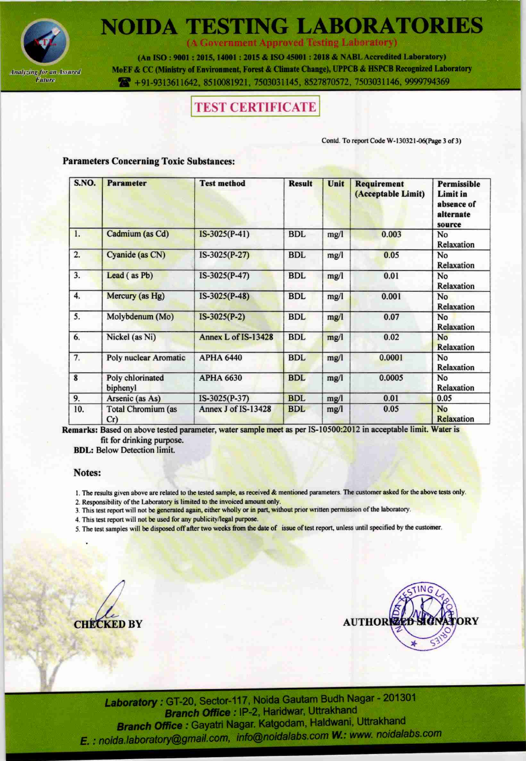

(A Government Approved Testing Laboratory)

(An ISO: 9001: 2015, 14001: 2015 & ISO 45001: 2018 & NABL Accredited Laboratory) MoEF & CC (Ministry of Environment, Forest & Climate Change), UPPCB & HSPCB Recognized Laboratory 491-9313611642, 8510081921, 7503031145, 8527870572, 7503031146, 9999794369

# **TEST CERTIFICATE**

Contd. To report Code W-130321-06(Page 3 of 3)

### **Parameters Concerning Toxic Substances:**

| S.NO.                   | <b>Parameter</b>                 | <b>Test method</b>  | <b>Result</b> | Unit | Requirement<br>(Acceptable Limit) | <b>Permissible</b><br>Limit in<br>absence of<br>alternate<br>source |
|-------------------------|----------------------------------|---------------------|---------------|------|-----------------------------------|---------------------------------------------------------------------|
| 1.                      | Cadmium (as Cd)                  | $IS-3025(P-41)$     | <b>BDL</b>    | mg/l | 0.003                             | No<br>Relaxation                                                    |
| 2.                      | Cyanide (as CN)                  | $IS-3025(P-27)$     | <b>BDL</b>    | mg/l | 0.05                              | No<br>Relaxation                                                    |
| 3.                      | Lead (as Pb)                     | $IS-3025(P-47)$     | <b>BDL</b>    | mg/l | 0.01                              | No<br>Relaxation                                                    |
| 4.                      | Mercury (as Hg)                  | IS-3025(P-48)       | <b>BDL</b>    | mg/l | 0.001                             | No<br>Relaxation                                                    |
| 5.                      | Molybdenum (Mo)                  | $IS-3025(P-2)$      | <b>BDL</b>    | mg/l | 0.07                              | No<br>Relaxation                                                    |
| 6.                      | Nickel (as Ni)                   | Annex L of IS-13428 | <b>BDL</b>    | mg/l | 0.02                              | No<br>Relaxation                                                    |
| 7.                      | <b>Poly nuclear Aromatic</b>     | <b>APHA 6440</b>    | <b>BDL</b>    | mg/l | 0.0001                            | No<br>Relaxation                                                    |
| $\overline{\mathbf{8}}$ | Poly chlorinated<br>biphenyl     | <b>APHA 6630</b>    | <b>BDL</b>    | mg/l | 0.0005                            | No<br>Relaxation                                                    |
| 9.                      | Arsenic (as As)                  | IS-3025(P-37)       | <b>BDL</b>    | mg/l | 0.01                              | 0.05                                                                |
| 10.                     | <b>Total Chromium (as</b><br>Cr) | Annex J of IS-13428 | <b>BDL</b>    | mg/l | 0.05                              | No<br>Relaxation                                                    |

Remarks: Based on above tested parameter, water sample meet as per IS-10500:2012 in acceptable limit. Water is fit for drinking purpose.

**BDL:** Below Detection limit.

#### Notes:

- 1. The results given above are related to the tested sample, as received & mentioned parameters. The customer asked for the above tests only.
- 2. Responsibility of the Laboratory is limited to the invoiced amount only.
- 3. This test report will not be generated again, either wholly or in part, without prior written permission of the laboratory.
- 4. This test report will not be used for any publicity/legal purpose.
- 5. The test samples will be disposed off after two weeks from the date of issue of test report, unless until specified by the customer.

**CHECKED BY** 

**DRY AUTHOR** 

Laboratory: GT-20, Sector-117, Noida Gautam Budh Nagar - 201301 Branch Office : IP-2, Haridwar, Uttrakhand Branch Office: Gayatri Nagar. Katgodam, Haldwani, Uttrakhand E. : noida.laboratory@gmail.com, info@noidalabs.com W.: www. noidalabs.com